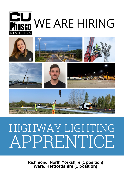

# WE ARE HIRING



## HIGHWAY LIGHTING APPRENTICE

**Richmond, North Yorkshire (1 position) Ware, Hertfordshire (1 position)**